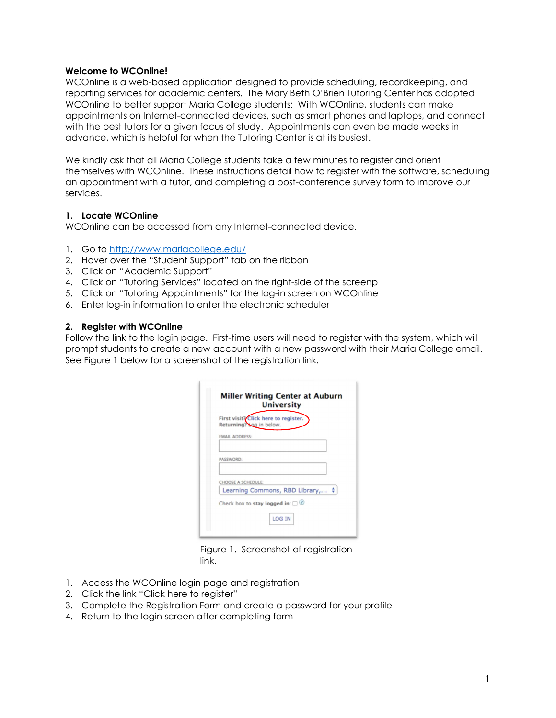#### Welcome to WCOnline!

WCOnline is a web-based application designed to provide scheduling, recordkeeping, and reporting services for academic centers. The Mary Beth O'Brien Tutoring Center has adopted WCOnline to better support Maria College students: With WCOnline, students can make appointments on Internet-connected devices, such as smart phones and laptops, and connect with the best tutors for a given focus of study. Appointments can even be made weeks in advance, which is helpful for when the Tutoring Center is at its busiest.

We kindly ask that all Maria College students take a few minutes to register and orient themselves with WCOnline. These instructions detail how to register with the software, scheduling an appointment with a tutor, and completing a post-conference survey form to improve our services.

#### 1. Locate WCOnline

WCOnline can be accessed from any Internet-connected device.

- 1. Go to http://www.mariacollege.edu/
- 2. Hover over the "Student Support" tab on the ribbon
- 3. Click on "Academic Support"
- 4. Click on "Tutoring Services" located on the right-side of the screenp
- 5. Click on "Tutoring Appointments" for the log-in screen on WCOnline
- 6. Enter log-in information to enter the electronic scheduler

#### 2. Register with WCOnline

Follow the link to the login page. First-time users will need to register with the system, which will prompt students to create a new account with a new password with their Maria College email. See Figure 1 below for a screenshot of the registration link.

| <b>EMAIL ADDRESS:</b><br>PASSWORD:<br><b>CHOOSE A SCHEDULE:</b><br>Learning Commons, RBD Library, ♦ | Returning? Log in below. | First visit? Click here to register. |
|-----------------------------------------------------------------------------------------------------|--------------------------|--------------------------------------|
|                                                                                                     |                          |                                      |
|                                                                                                     |                          |                                      |
|                                                                                                     |                          |                                      |
| Check box to stay logged in: $\bigcap$ (2)                                                          |                          |                                      |

Figure 1. Screenshot of registration link.

- 1. Access the WCOnline login page and registration
- 2. Click the link "Click here to register"
- 3. Complete the Registration Form and create a password for your profile
- 4. Return to the login screen after completing form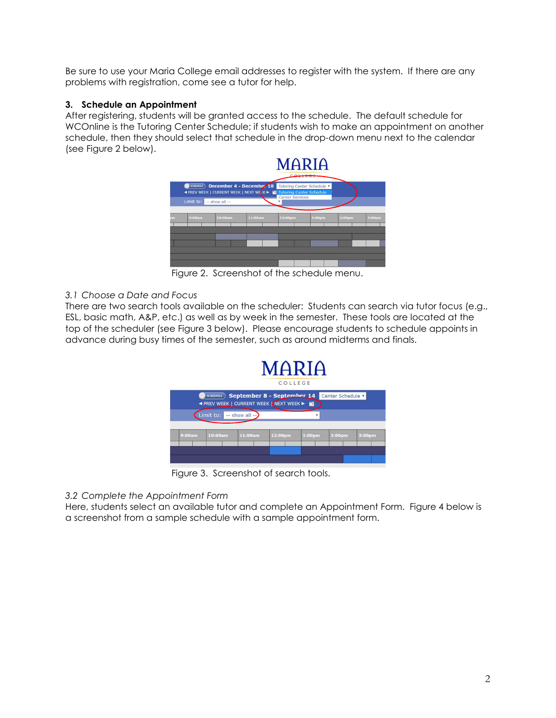Be sure to use your Maria College email addresses to register with the system. If there are any problems with registration, come see a tutor for help.

# 3. Schedule an Appointment

After registering, students will be granted access to the schedule. The default schedule for WCOnline is the Tutoring Center Schedule; if students wish to make an appointment on another schedule, then they should select that schedule in the drop-down menu next to the calendar (see Figure 2 below).



Figure 2. Screenshot of the schedule menu.

# 3.1 Choose a Date and Focus

There are two search tools available on the scheduler: Students can search via tutor focus (e.g., ESL, basic math, A&P, etc.) as well as by week in the semester. These tools are located at the top of the scheduler (see Figure 3 below). Please encourage students to schedule appoints in advance during busy times of the semester, such as around midterms and finals.



Figure 3. Screenshot of search tools.

# 3.2 Complete the Appointment Form

Here, students select an available tutor and complete an Appointment Form. Figure 4 below is a screenshot from a sample schedule with a sample appointment form.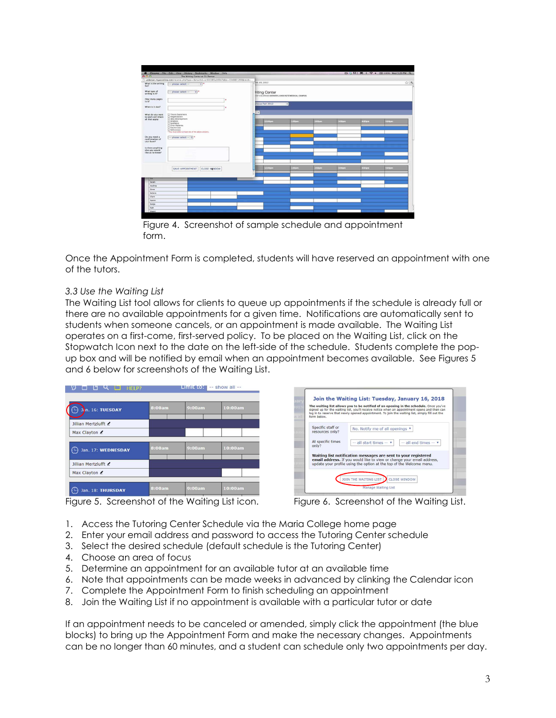

Figure 4. Screenshot of sample schedule and appointment form.

Once the Appointment Form is completed, students will have reserved an appointment with one of the tutors.

#### 3.3 Use the Waiting List

The Waiting List tool allows for clients to queue up appointments if the schedule is already full or there are no available appointments for a given time. Notifications are automatically sent to students when someone cancels, or an appointment is made available. The Waiting List operates on a first-come, first-served policy. To be placed on the Waiting List, click on the Stopwatch Icon next to the date on the left-side of the schedule. Students complete the popup box and will be notified by email when an appointment becomes available. See Figures 5 and 6 below for screenshots of the Waiting List.



Join the Waiting List: Tuesday, January 16, 2018 The waiting list allows you to be notified of an opening in the schedule. Once you've<br>signed up for the waiting list, you'll receive notice when an appointment opens and then car<br>log in to reserve that newly opened appoint Specific staff or No. Notify me of all openings  $\mathbf{v}$ resources only At specific times<br>only?  $\boxed{-}$  all start times  $\blacktriangledown$   $\boxed{-}$  all end times  $\blacktriangledown$ Waiting list notification messages are sent to your registered<br>email address. If you would like to view or change your email addre<br>update your profile using the option at the top of the Welcome menu. JOIN THE WAITING LIST CLOSE WINDOW Manage Waiting List

Figure 5. Screenshot of the Waiting List icon. Figure 6. Screenshot of the Waiting List.

- 1. Access the Tutoring Center Schedule via the Maria College home page
- 2. Enter your email address and password to access the Tutoring Center schedule
- 3. Select the desired schedule (default schedule is the Tutoring Center)
- 4. Choose an area of focus
- 5. Determine an appointment for an available tutor at an available time
- 6. Note that appointments can be made weeks in advanced by clinking the Calendar icon
- 7. Complete the Appointment Form to finish scheduling an appointment
- 8. Join the Waiting List if no appointment is available with a particular tutor or date

If an appointment needs to be canceled or amended, simply click the appointment (the blue blocks) to bring up the Appointment Form and make the necessary changes. Appointments can be no longer than 60 minutes, and a student can schedule only two appointments per day.